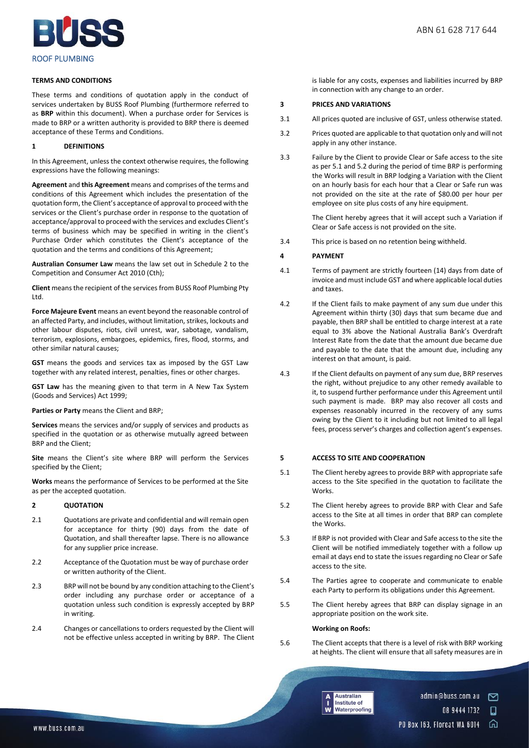

### **TERMS AND CONDITIONS**

These terms and conditions of quotation apply in the conduct of services undertaken by BUSS Roof Plumbing (furthermore referred to as **BRP** within this document). When a purchase order for Services is made to BRP or a written authority is provided to BRP there is deemed acceptance of these Terms and Conditions.

# **1 DEFINITIONS**

In this Agreement, unless the context otherwise requires, the following expressions have the following meanings:

**Agreement** and **this Agreement** means and comprises of the terms and conditions of this Agreement which includes the presentation of the quotation form, the Client's acceptance of approval to proceed with the services or the Client's purchase order in response to the quotation of acceptance/approval to proceed with the services and excludes Client's terms of business which may be specified in writing in the client's Purchase Order which constitutes the Client's acceptance of the quotation and the terms and conditions of this Agreement;

**Australian Consumer Law** means the law set out in Schedule 2 to the Competition and Consumer Act 2010 (Cth);

**Client** means the recipient of the services from BUSS Roof Plumbing Pty Ltd.

**Force Majeure Event** means an event beyond the reasonable control of an affected Party, and includes, without limitation, strikes, lockouts and other labour disputes, riots, civil unrest, war, sabotage, vandalism, terrorism, explosions, embargoes, epidemics, fires, flood, storms, and other similar natural causes;

**GST** means the goods and services tax as imposed by the GST Law together with any related interest, penalties, fines or other charges.

**GST Law** has the meaning given to that term in A New Tax System (Goods and Services) Act 1999;

#### **Parties or Party** means the Client and BRP;

**Services** means the services and/or supply of services and products as specified in the quotation or as otherwise mutually agreed between BRP and the Client;

**Site** means the Client's site where BRP will perform the Services specified by the Client;

**Works** means the performance of Services to be performed at the Site as per the accepted quotation.

# **2 QUOTATION**

- 2.1 Quotations are private and confidential and will remain open for acceptance for thirty (90) days from the date of Quotation, and shall thereafter lapse. There is no allowance for any supplier price increase.
- 2.2 Acceptance of the Quotation must be way of purchase order or written authority of the Client.
- 2.3 BRP will not be bound by any condition attaching to the Client's order including any purchase order or acceptance of a quotation unless such condition is expressly accepted by BRP in writing.
- 2.4 Changes or cancellations to orders requested by the Client will not be effective unless accepted in writing by BRP. The Client

is liable for any costs, expenses and liabilities incurred by BRP in connection with any change to an order.

#### **3 PRICES AND VARIATIONS**

- 3.1 All prices quoted are inclusive of GST, unless otherwise stated.
- 3.2 Prices quoted are applicable to that quotation only and will not apply in any other instance.
- 3.3 Failure by the Client to provide Clear or Safe access to the site as per 5.1 and 5.2 during the period of time BRP is performing the Works will result in BRP lodging a Variation with the Client on an hourly basis for each hour that a Clear or Safe run was not provided on the site at the rate of \$80.00 per hour per employee on site plus costs of any hire equipment.

The Client hereby agrees that it will accept such a Variation if Clear or Safe access is not provided on the site.

3.4 This price is based on no retention being withheld.

# **4 PAYMENT**

- 4.1 Terms of payment are strictly fourteen (14) days from date of invoice and must include GST and where applicable local duties and taxes.
- 4.2 If the Client fails to make payment of any sum due under this Agreement within thirty (30) days that sum became due and payable, then BRP shall be entitled to charge interest at a rate equal to 3% above the National Australia Bank's Overdraft Interest Rate from the date that the amount due became due and payable to the date that the amount due, including any interest on that amount, is paid.
- 4.3 If the Client defaults on payment of any sum due, BRP reserves the right, without prejudice to any other remedy available to it, to suspend further performance under this Agreement until such payment is made. BRP may also recover all costs and expenses reasonably incurred in the recovery of any sums owing by the Client to it including but not limited to all legal fees, process server's charges and collection agent's expenses.

# **5 ACCESS TO SITE AND COOPERATION**

- 5.1 The Client hereby agrees to provide BRP with appropriate safe access to the Site specified in the quotation to facilitate the Works.
- 5.2 The Client hereby agrees to provide BRP with Clear and Safe access to the Site at all times in order that BRP can complete the Works.
- 5.3 If BRP is not provided with Clear and Safe access to the site the Client will be notified immediately together with a follow up email at days end to state the issues regarding no Clear or Safe access to the site.
- 5.4 The Parties agree to cooperate and communicate to enable each Party to perform its obligations under this Agreement.
- 5.5 The Client hereby agrees that BRP can display signage in an appropriate position on the work site.

### **Working on Roofs:**

5.6 The Client accepts that there is a level of risk with BRP working at heights. The client will ensure that all safety measures are in



admin@buss.com.au 罓

> 08 9444 1732 Ω

PO Box 163, Floreat WA 6014 介

l